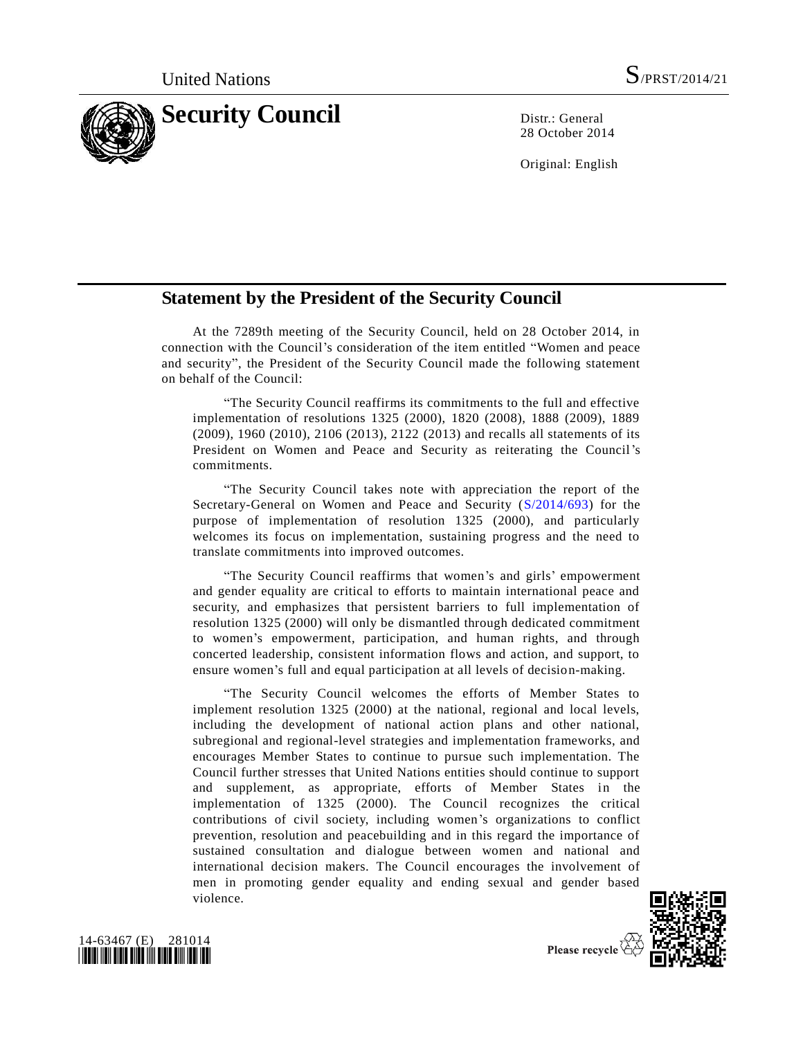

28 October 2014

Original: English

## **Statement by the President of the Security Council**

At the 7289th meeting of the Security Council, held on 28 October 2014, in connection with the Council's consideration of the item entitled "Women and peace and security", the President of the Security Council made the following statement on behalf of the Council:

"The Security Council reaffirms its commitments to the full and effective implementation of resolutions 1325 (2000), 1820 (2008), 1888 (2009), 1889 (2009), 1960 (2010), 2106 (2013), 2122 (2013) and recalls all statements of its President on Women and Peace and Security as reiterating the Council's commitments.

"The Security Council takes note with appreciation the report of the Secretary-General on Women and Peace and Security [\(S/2014/693\)](http://undocs.org/S/2014/693) for the purpose of implementation of resolution 1325 (2000), and particularly welcomes its focus on implementation, sustaining progress and the need to translate commitments into improved outcomes.

"The Security Council reaffirms that women's and girls' empowerment and gender equality are critical to efforts to maintain international peace and security, and emphasizes that persistent barriers to full implementation of resolution 1325 (2000) will only be dismantled through dedicated commitment to women's empowerment, participation, and human rights, and through concerted leadership, consistent information flows and action, and support, to ensure women's full and equal participation at all levels of decision-making.

"The Security Council welcomes the efforts of Member States to implement resolution 1325 (2000) at the national, regional and local levels, including the development of national action plans and other national, subregional and regional-level strategies and implementation frameworks, and encourages Member States to continue to pursue such implementation. The Council further stresses that United Nations entities should continue to support and supplement, as appropriate, efforts of Member States in the implementation of 1325 (2000). The Council recognizes the critical contributions of civil society, including women's organizations to conflict prevention, resolution and peacebuilding and in this regard the importance of sustained consultation and dialogue between women and national and international decision makers. The Council encourages the involvement of men in promoting gender equality and ending sexual and gender based violence.



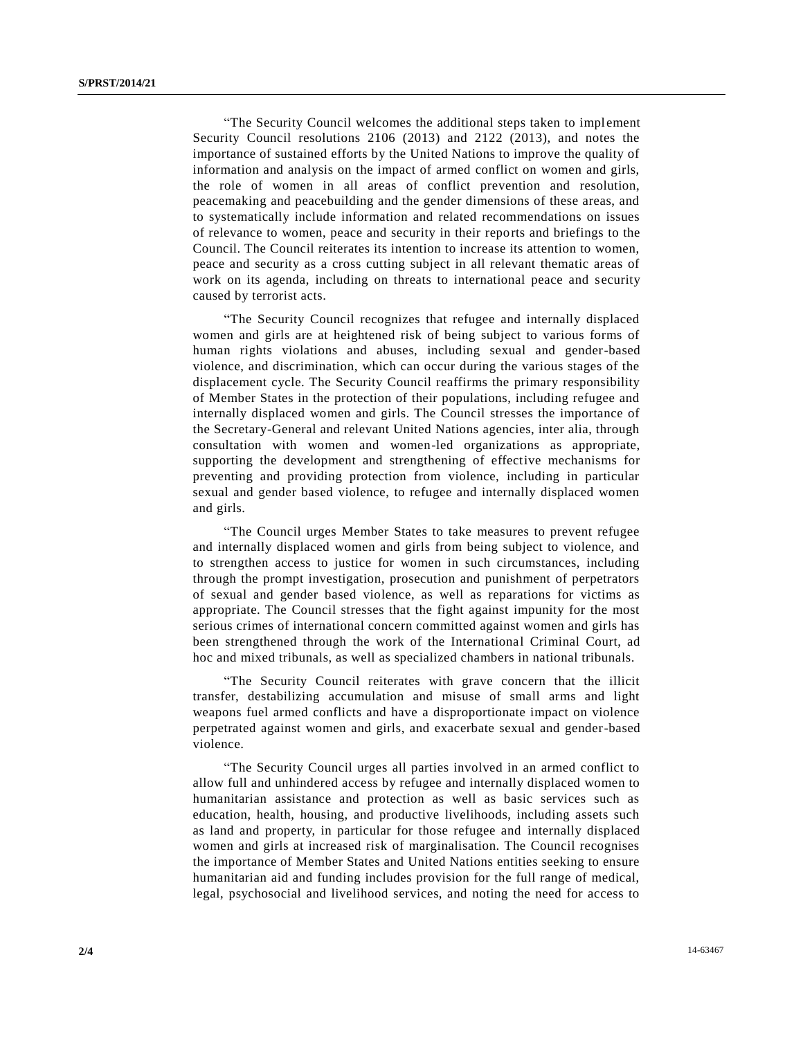"The Security Council welcomes the additional steps taken to implement Security Council resolutions 2106 (2013) and 2122 (2013), and notes the importance of sustained efforts by the United Nations to improve the quality of information and analysis on the impact of armed conflict on women and girls, the role of women in all areas of conflict prevention and resolution, peacemaking and peacebuilding and the gender dimensions of these areas, and to systematically include information and related recommendations on issues of relevance to women, peace and security in their reports and briefings to the Council. The Council reiterates its intention to increase its attention to women, peace and security as a cross cutting subject in all relevant thematic areas of work on its agenda, including on threats to international peace and security caused by terrorist acts.

"The Security Council recognizes that refugee and internally displaced women and girls are at heightened risk of being subject to various forms of human rights violations and abuses, including sexual and gender-based violence, and discrimination, which can occur during the various stages of the displacement cycle. The Security Council reaffirms the primary responsibility of Member States in the protection of their populations, including refugee and internally displaced women and girls. The Council stresses the importance of the Secretary-General and relevant United Nations agencies, inter alia, through consultation with women and women-led organizations as appropriate, supporting the development and strengthening of effective mechanisms for preventing and providing protection from violence, including in particular sexual and gender based violence, to refugee and internally displaced women and girls.

"The Council urges Member States to take measures to prevent refugee and internally displaced women and girls from being subject to violence, and to strengthen access to justice for women in such circumstances, including through the prompt investigation, prosecution and punishment of perpetrators of sexual and gender based violence, as well as reparations for victims as appropriate. The Council stresses that the fight against impunity for the most serious crimes of international concern committed against women and girls has been strengthened through the work of the International Criminal Court, ad hoc and mixed tribunals, as well as specialized chambers in national tribunals.

"The Security Council reiterates with grave concern that the illicit transfer, destabilizing accumulation and misuse of small arms and light weapons fuel armed conflicts and have a disproportionate impact on violence perpetrated against women and girls, and exacerbate sexual and gender-based violence.

"The Security Council urges all parties involved in an armed conflict to allow full and unhindered access by refugee and internally displaced women to humanitarian assistance and protection as well as basic services such as education, health, housing, and productive livelihoods, including assets such as land and property, in particular for those refugee and internally displaced women and girls at increased risk of marginalisation. The Council recognises the importance of Member States and United Nations entities seeking to ensure humanitarian aid and funding includes provision for the full range of medical, legal, psychosocial and livelihood services, and noting the need for access to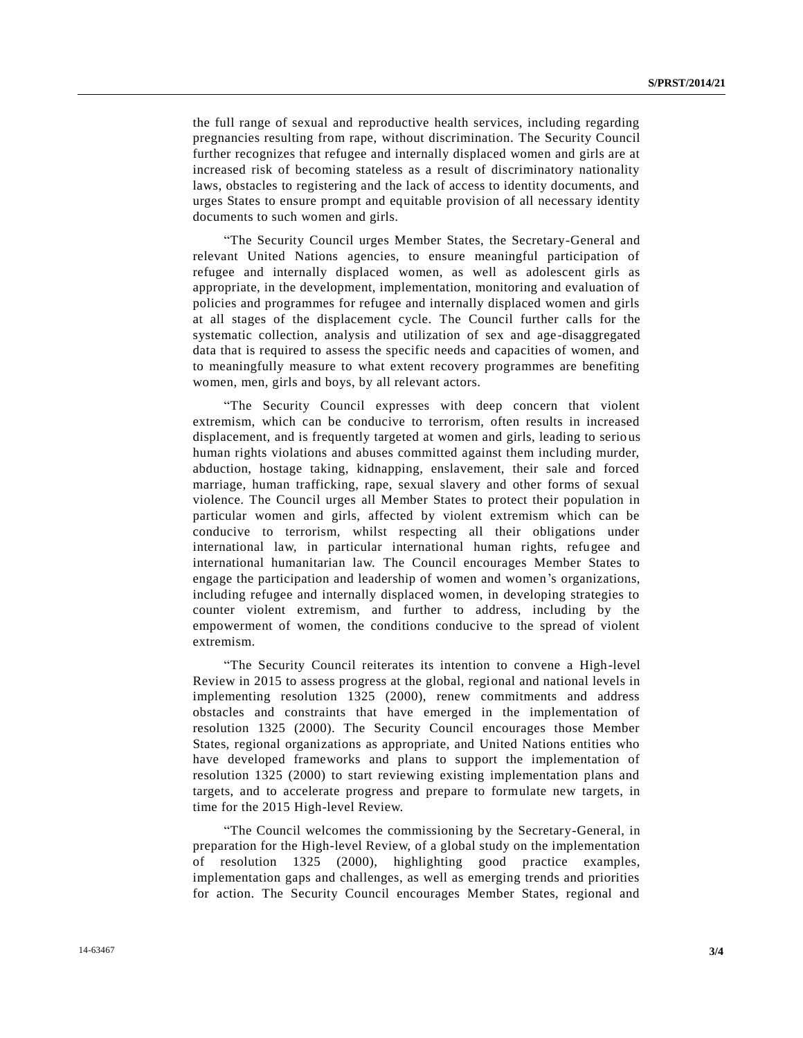the full range of sexual and reproductive health services, including regarding pregnancies resulting from rape, without discrimination. The Security Council further recognizes that refugee and internally displaced women and girls are at increased risk of becoming stateless as a result of discriminatory nationality laws, obstacles to registering and the lack of access to identity documents, and urges States to ensure prompt and equitable provision of all necessary identity documents to such women and girls.

"The Security Council urges Member States, the Secretary-General and relevant United Nations agencies, to ensure meaningful participation of refugee and internally displaced women, as well as adolescent girls as appropriate, in the development, implementation, monitoring and evaluation of policies and programmes for refugee and internally displaced women and girls at all stages of the displacement cycle. The Council further calls for the systematic collection, analysis and utilization of sex and age-disaggregated data that is required to assess the specific needs and capacities of women, and to meaningfully measure to what extent recovery programmes are benefiting women, men, girls and boys, by all relevant actors.

"The Security Council expresses with deep concern that violent extremism, which can be conducive to terrorism, often results in increased displacement, and is frequently targeted at women and girls, leading to serio us human rights violations and abuses committed against them including murder, abduction, hostage taking, kidnapping, enslavement, their sale and forced marriage, human trafficking, rape, sexual slavery and other forms of sexual violence. The Council urges all Member States to protect their population in particular women and girls, affected by violent extremism which can be conducive to terrorism, whilst respecting all their obligations under international law, in particular international human rights, refugee and international humanitarian law. The Council encourages Member States to engage the participation and leadership of women and women's organizations, including refugee and internally displaced women, in developing strategies to counter violent extremism, and further to address, including by the empowerment of women, the conditions conducive to the spread of violent extremism.

"The Security Council reiterates its intention to convene a High-level Review in 2015 to assess progress at the global, regional and national levels in implementing resolution 1325 (2000), renew commitments and address obstacles and constraints that have emerged in the implementation of resolution 1325 (2000). The Security Council encourages those Member States, regional organizations as appropriate, and United Nations entities who have developed frameworks and plans to support the implementation of resolution 1325 (2000) to start reviewing existing implementation plans and targets, and to accelerate progress and prepare to formulate new targets, in time for the 2015 High-level Review.

"The Council welcomes the commissioning by the Secretary-General, in preparation for the High-level Review, of a global study on the implementation of resolution 1325 (2000), highlighting good practice examples, implementation gaps and challenges, as well as emerging trends and priorities for action. The Security Council encourages Member States, regional and